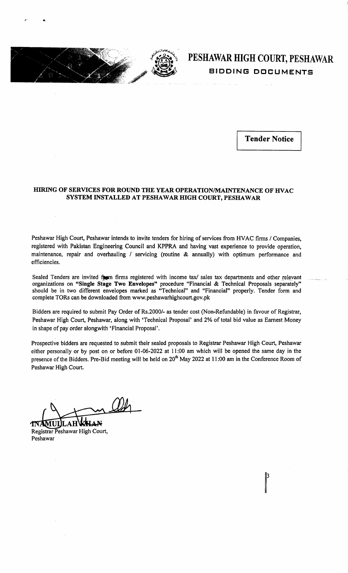

a

## PESHAWAR HIGH COURT, PESHAWAR BIDDING DOCUMENTS

Tender Notice

## HIRING OF SERVICES FOR ROUND THE YEAR OPERATION/MAINTENANCE OF HVAC SYSTEM INSTALLED AT PESHAWAR HIGH COURT, PESHAWAR

Peshawar High Court, Peshawar intends to invite tenders for hiring of services from HVAC firms / Companies, registered with Pakistan Engineering Council and KPPRA and having vast experience to provide operation, maintenance, repair and overhauling / servicing (routine & annually) with optimum performance and efficiencies.

Sealed Tenders are invited figm firms registered with income tax/ sales tax departments and other relevant organizations on "Single Stage Two Envelopes" procedure "Financial & Technical Proposals separately" should be in two different envelopes marked as "Technical" and "Financial" properly. Tender form and complete TORs can be downloaded from www.peshawarhighcourt.gov.pk

Bidders are required to submit Pay Order of Rs.2000/- as tender cost (Non-Refundable) in favour of Registrar, Peshawar High Court, Peshawar, along with 'Technical Proposal' and 2% of total bid value as Earnest Money in shape of pay order alongwith 'Financial Proposal'.

Prospective bidders are requested to submit their sealed proposals to Registrar Peshawar High Court, Peshawar either personally or by post on or before 0l-06-2022 at ll:00 am which will be opened the same day in the presence of the Bidders. Pre-Bid meeting will be held on 20<sup>th</sup> May 2022 at 11:00 am in the Conference Room of Peshawar High Court.

**KHAN TNAMULLAH** Registrar Peshawar High Court, Peshawar